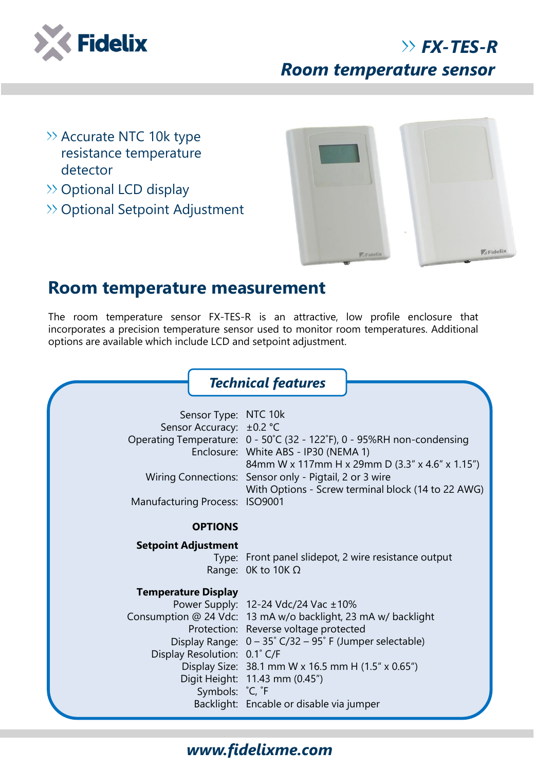

# *FX-TES-R Room temperature sensor*

- $\rightarrow$  Accurate NTC 10k type resistance temperature detector
- $\gg$  Optional LCD display
- >> Optional Setpoint Adjustment



## **Room temperature measurement**

The room temperature sensor FX-TES-R is an attractive, low profile enclosure that incorporates a precision temperature sensor used to monitor room temperatures. Additional options are available which include LCD and setpoint adjustment.



#### *www.fidelixme.com*